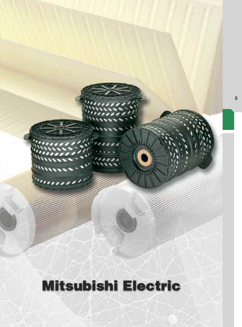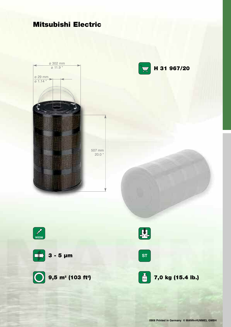



**0908 Printed in Germany © MANN+HUMMEL GMBH**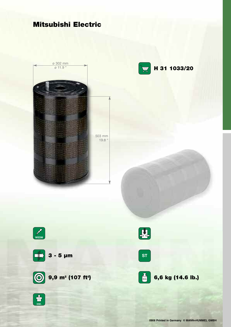



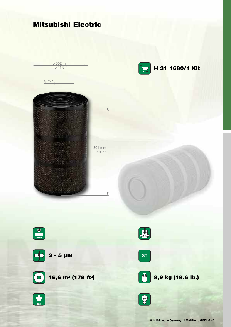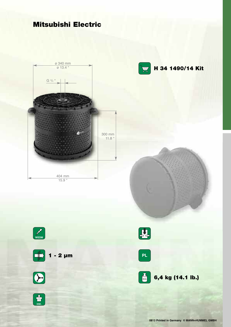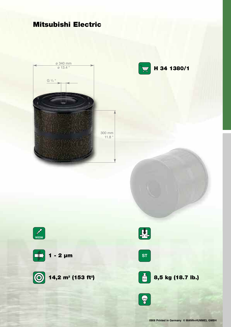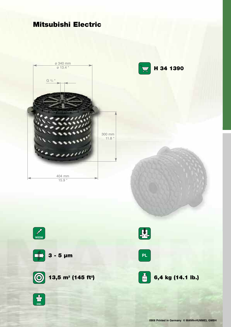



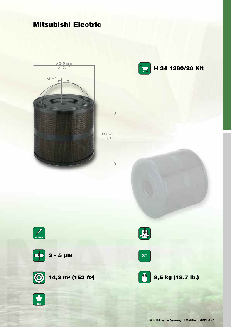



**H 34 1380/20 Kit**



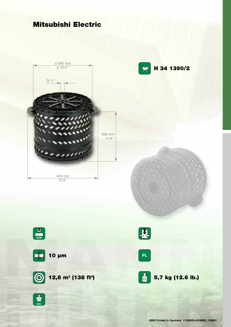**inkl.** 

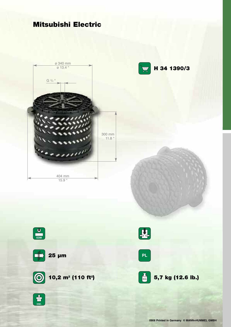



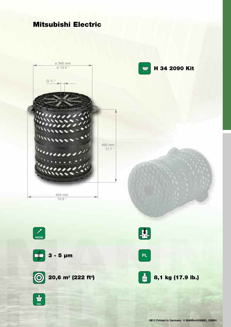